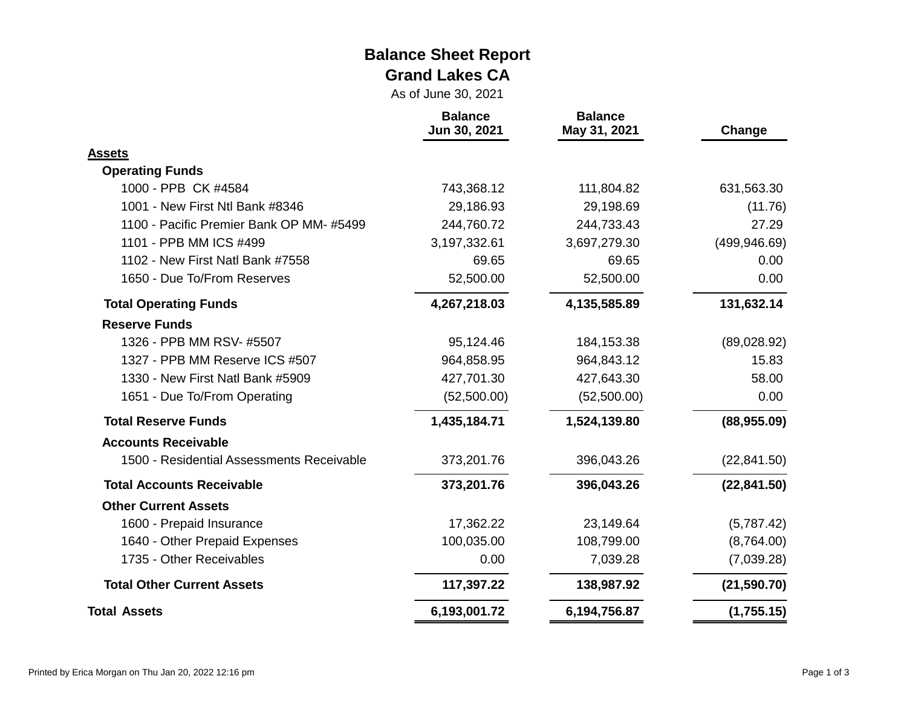#### **Balance Sheet Report Grand Lakes CA**

As of June 30, 2021

|                                           | <b>Balance</b><br>Jun 30, 2021 | <b>Balance</b><br>May 31, 2021 | Change        |
|-------------------------------------------|--------------------------------|--------------------------------|---------------|
| <b>Assets</b>                             |                                |                                |               |
| <b>Operating Funds</b>                    |                                |                                |               |
| 1000 - PPB CK #4584                       | 743,368.12                     | 111,804.82                     | 631,563.30    |
| 1001 - New First Ntl Bank #8346           | 29,186.93                      | 29,198.69                      | (11.76)       |
| 1100 - Pacific Premier Bank OP MM-#5499   | 244,760.72                     | 244,733.43                     | 27.29         |
| 1101 - PPB MM ICS #499                    | 3,197,332.61                   | 3,697,279.30                   | (499, 946.69) |
| 1102 - New First Natl Bank #7558          | 69.65                          | 69.65                          | 0.00          |
| 1650 - Due To/From Reserves               | 52,500.00                      | 52,500.00                      | 0.00          |
| <b>Total Operating Funds</b>              | 4,267,218.03                   | 4,135,585.89                   | 131,632.14    |
| <b>Reserve Funds</b>                      |                                |                                |               |
| 1326 - PPB MM RSV- #5507                  | 95,124.46                      | 184,153.38                     | (89,028.92)   |
| 1327 - PPB MM Reserve ICS #507            | 964,858.95                     | 964,843.12                     | 15.83         |
| 1330 - New First Natl Bank #5909          | 427,701.30                     | 427,643.30                     | 58.00         |
| 1651 - Due To/From Operating              | (52,500.00)                    | (52,500.00)                    | 0.00          |
| <b>Total Reserve Funds</b>                | 1,435,184.71                   | 1,524,139.80                   | (88,955.09)   |
| <b>Accounts Receivable</b>                |                                |                                |               |
| 1500 - Residential Assessments Receivable | 373,201.76                     | 396,043.26                     | (22, 841.50)  |
| <b>Total Accounts Receivable</b>          | 373,201.76                     | 396,043.26                     | (22, 841.50)  |
| <b>Other Current Assets</b>               |                                |                                |               |
| 1600 - Prepaid Insurance                  | 17,362.22                      | 23,149.64                      | (5,787.42)    |
| 1640 - Other Prepaid Expenses             | 100,035.00                     | 108,799.00                     | (8,764.00)    |
| 1735 - Other Receivables                  | 0.00                           | 7,039.28                       | (7,039.28)    |
| <b>Total Other Current Assets</b>         | 117,397.22                     | 138,987.92                     | (21, 590.70)  |
| <b>Total Assets</b>                       | 6,193,001.72                   | 6,194,756.87                   | (1,755.15)    |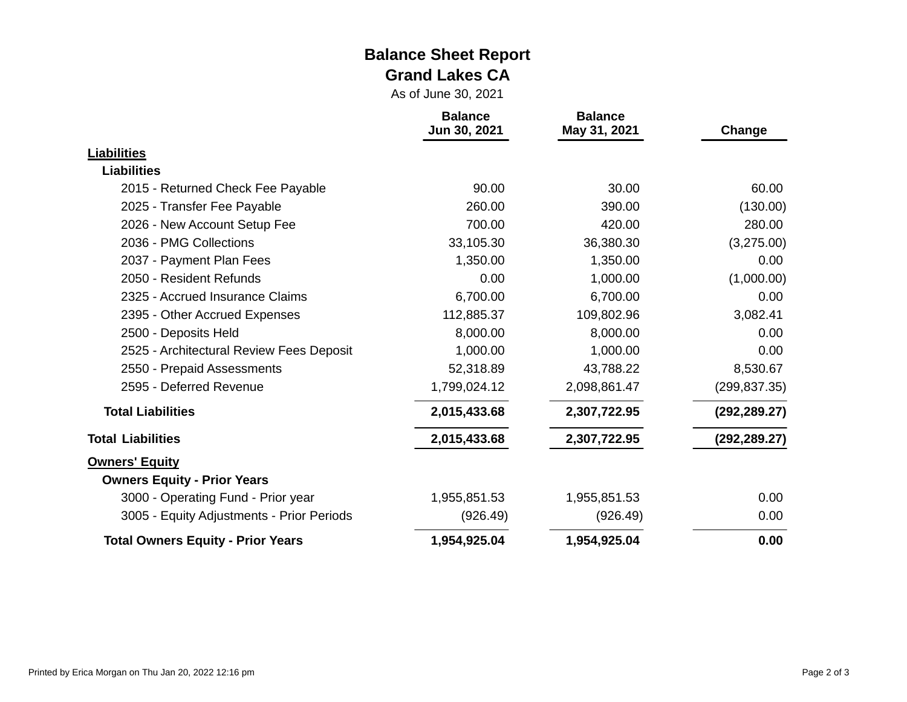#### **Balance Sheet Report Grand Lakes CA**

As of June 30, 2021

|                                           | <b>Balance</b><br>Jun 30, 2021 | <b>Balance</b><br>May 31, 2021 | Change        |  |
|-------------------------------------------|--------------------------------|--------------------------------|---------------|--|
| <b>Liabilities</b>                        |                                |                                |               |  |
| <b>Liabilities</b>                        |                                |                                |               |  |
| 2015 - Returned Check Fee Payable         | 90.00                          | 30.00                          | 60.00         |  |
| 2025 - Transfer Fee Payable               | 260.00                         | 390.00                         | (130.00)      |  |
| 2026 - New Account Setup Fee              | 700.00                         | 420.00                         | 280.00        |  |
| 2036 - PMG Collections                    | 33,105.30                      | 36,380.30                      | (3,275.00)    |  |
| 2037 - Payment Plan Fees                  | 1,350.00                       | 1,350.00                       | 0.00          |  |
| 2050 - Resident Refunds                   | 0.00                           | 1,000.00                       | (1,000.00)    |  |
| 2325 - Accrued Insurance Claims           | 6,700.00                       | 6,700.00                       | 0.00          |  |
| 2395 - Other Accrued Expenses             | 112,885.37                     | 109,802.96                     | 3,082.41      |  |
| 2500 - Deposits Held                      | 8,000.00                       | 8,000.00                       | 0.00          |  |
| 2525 - Architectural Review Fees Deposit  | 1,000.00                       | 1,000.00                       | 0.00          |  |
| 2550 - Prepaid Assessments                | 52,318.89                      | 43,788.22                      | 8,530.67      |  |
| 2595 - Deferred Revenue                   | 1,799,024.12                   | 2,098,861.47                   | (299, 837.35) |  |
| <b>Total Liabilities</b>                  | 2,015,433.68                   | 2,307,722.95                   | (292, 289.27) |  |
| <b>Total Liabilities</b>                  | 2,015,433.68                   | 2,307,722.95                   | (292, 289.27) |  |
| <b>Owners' Equity</b>                     |                                |                                |               |  |
| <b>Owners Equity - Prior Years</b>        |                                |                                |               |  |
| 3000 - Operating Fund - Prior year        | 1,955,851.53                   | 1,955,851.53                   | 0.00          |  |
| 3005 - Equity Adjustments - Prior Periods | (926.49)                       | (926.49)                       | 0.00          |  |
| <b>Total Owners Equity - Prior Years</b>  | 1,954,925.04                   | 1,954,925.04                   | 0.00          |  |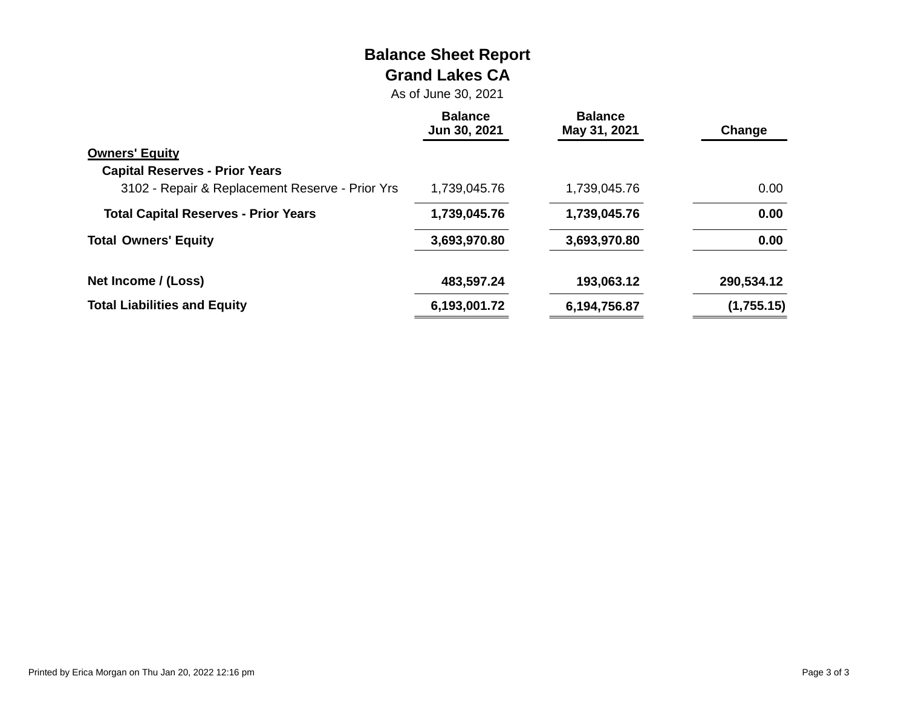# **Balance Sheet Report Grand Lakes CA**

As of June 30, 2021

|                                                 | <b>Balance</b><br>Jun 30, 2021 | <b>Balance</b><br>May 31, 2021 | Change     |
|-------------------------------------------------|--------------------------------|--------------------------------|------------|
| <b>Owners' Equity</b>                           |                                |                                |            |
| <b>Capital Reserves - Prior Years</b>           |                                |                                |            |
| 3102 - Repair & Replacement Reserve - Prior Yrs | 1,739,045.76                   | 1,739,045.76                   | 0.00       |
| <b>Total Capital Reserves - Prior Years</b>     | 1,739,045.76                   | 1,739,045.76                   | 0.00       |
| <b>Total Owners' Equity</b>                     | 3,693,970.80                   | 3,693,970.80                   | 0.00       |
| Net Income / (Loss)                             | 483,597.24                     | 193,063.12                     | 290,534.12 |
| <b>Total Liabilities and Equity</b>             | 6,193,001.72                   | 6,194,756.87                   | (1,755.15) |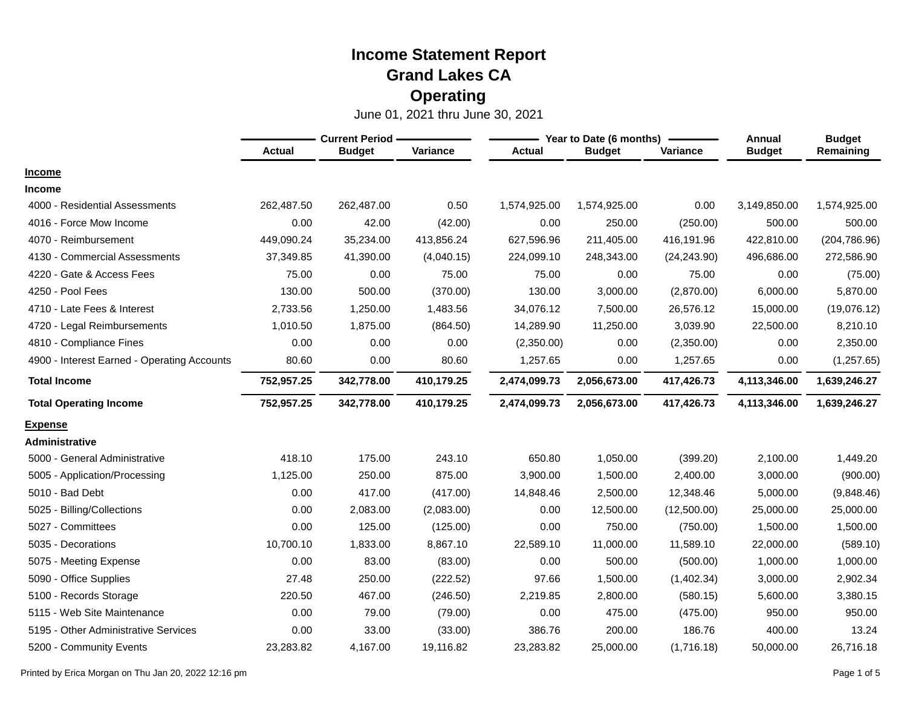|                                             | <b>Current Period</b> |               |            |               | Year to Date (6 months) | Annual       | <b>Budget</b> |               |
|---------------------------------------------|-----------------------|---------------|------------|---------------|-------------------------|--------------|---------------|---------------|
|                                             | <b>Actual</b>         | <b>Budget</b> | Variance   | <b>Actual</b> | <b>Budget</b>           | Variance     | <b>Budget</b> | Remaining     |
| <b>Income</b>                               |                       |               |            |               |                         |              |               |               |
| <b>Income</b>                               |                       |               |            |               |                         |              |               |               |
| 4000 - Residential Assessments              | 262,487.50            | 262,487.00    | 0.50       | 1,574,925.00  | 1,574,925.00            | 0.00         | 3,149,850.00  | 1,574,925.00  |
| 4016 - Force Mow Income                     | 0.00                  | 42.00         | (42.00)    | 0.00          | 250.00                  | (250.00)     | 500.00        | 500.00        |
| 4070 - Reimbursement                        | 449,090.24            | 35,234.00     | 413,856.24 | 627,596.96    | 211,405.00              | 416,191.96   | 422,810.00    | (204, 786.96) |
| 4130 - Commercial Assessments               | 37,349.85             | 41.390.00     | (4,040.15) | 224,099.10    | 248,343.00              | (24, 243.90) | 496,686.00    | 272,586.90    |
| 4220 - Gate & Access Fees                   | 75.00                 | 0.00          | 75.00      | 75.00         | 0.00                    | 75.00        | 0.00          | (75.00)       |
| 4250 - Pool Fees                            | 130.00                | 500.00        | (370.00)   | 130.00        | 3,000.00                | (2,870.00)   | 6,000.00      | 5,870.00      |
| 4710 - Late Fees & Interest                 | 2,733.56              | 1,250.00      | 1,483.56   | 34,076.12     | 7,500.00                | 26,576.12    | 15,000.00     | (19,076.12)   |
| 4720 - Legal Reimbursements                 | 1,010.50              | 1,875.00      | (864.50)   | 14,289.90     | 11,250.00               | 3,039.90     | 22,500.00     | 8,210.10      |
| 4810 - Compliance Fines                     | 0.00                  | 0.00          | 0.00       | (2,350.00)    | 0.00                    | (2,350.00)   | 0.00          | 2,350.00      |
| 4900 - Interest Earned - Operating Accounts | 80.60                 | 0.00          | 80.60      | 1,257.65      | 0.00                    | 1,257.65     | 0.00          | (1,257.65)    |
| <b>Total Income</b>                         | 752,957.25            | 342,778.00    | 410,179.25 | 2,474,099.73  | 2,056,673.00            | 417,426.73   | 4,113,346.00  | 1,639,246.27  |
| <b>Total Operating Income</b>               | 752,957.25            | 342,778.00    | 410,179.25 | 2,474,099.73  | 2,056,673.00            | 417,426.73   | 4,113,346.00  | 1,639,246.27  |
| <b>Expense</b>                              |                       |               |            |               |                         |              |               |               |
| Administrative                              |                       |               |            |               |                         |              |               |               |
| 5000 - General Administrative               | 418.10                | 175.00        | 243.10     | 650.80        | 1,050.00                | (399.20)     | 2,100.00      | 1,449.20      |
| 5005 - Application/Processing               | 1,125.00              | 250.00        | 875.00     | 3,900.00      | 1,500.00                | 2,400.00     | 3,000.00      | (900.00)      |
| 5010 - Bad Debt                             | 0.00                  | 417.00        | (417.00)   | 14,848.46     | 2,500.00                | 12,348.46    | 5,000.00      | (9,848.46)    |
| 5025 - Billing/Collections                  | 0.00                  | 2,083.00      | (2,083.00) | 0.00          | 12,500.00               | (12,500.00)  | 25,000.00     | 25,000.00     |
| 5027 - Committees                           | 0.00                  | 125.00        | (125.00)   | 0.00          | 750.00                  | (750.00)     | 1,500.00      | 1,500.00      |
| 5035 - Decorations                          | 10,700.10             | 1,833.00      | 8,867.10   | 22,589.10     | 11,000.00               | 11,589.10    | 22,000.00     | (589.10)      |
| 5075 - Meeting Expense                      | 0.00                  | 83.00         | (83.00)    | 0.00          | 500.00                  | (500.00)     | 1,000.00      | 1,000.00      |
| 5090 - Office Supplies                      | 27.48                 | 250.00        | (222.52)   | 97.66         | 1,500.00                | (1,402.34)   | 3,000.00      | 2,902.34      |
| 5100 - Records Storage                      | 220.50                | 467.00        | (246.50)   | 2,219.85      | 2,800.00                | (580.15)     | 5,600.00      | 3,380.15      |
| 5115 - Web Site Maintenance                 | 0.00                  | 79.00         | (79.00)    | 0.00          | 475.00                  | (475.00)     | 950.00        | 950.00        |
| - Other Administrative Services<br>5195     | 0.00                  | 33.00         | (33.00)    | 386.76        | 200.00                  | 186.76       | 400.00        | 13.24         |
| 5200 - Community Events                     | 23.283.82             | 4.167.00      | 19,116.82  | 23,283.82     | 25,000.00               | (1,716.18)   | 50,000.00     | 26,716.18     |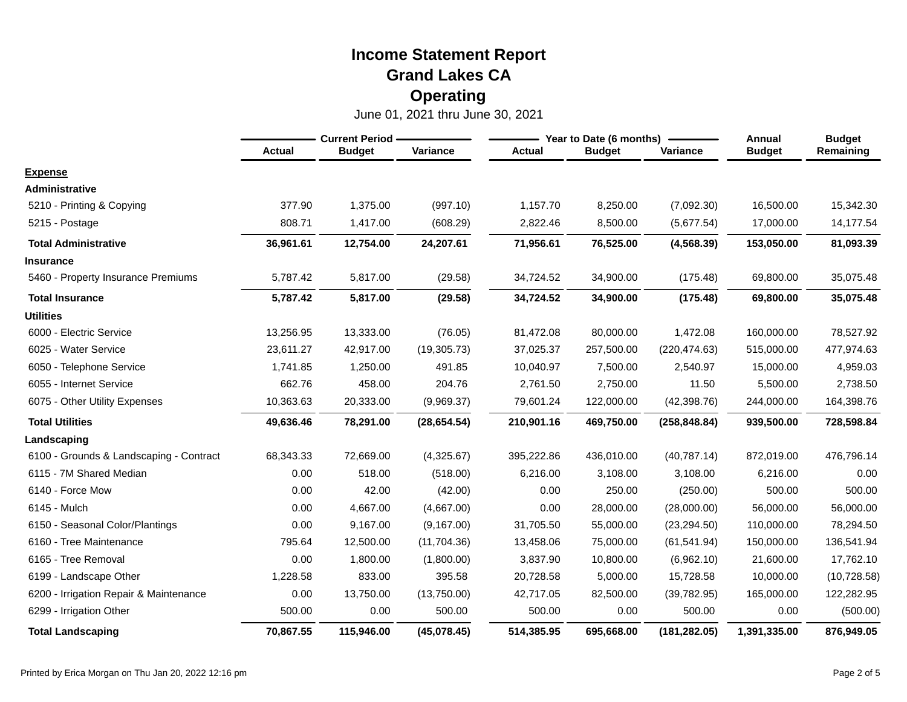|                                         |           | <b>Current Period -</b> |              |               | Year to Date (6 months) | Annual        | <b>Budget</b> |              |
|-----------------------------------------|-----------|-------------------------|--------------|---------------|-------------------------|---------------|---------------|--------------|
|                                         | Actual    | <b>Budget</b>           | Variance     | <b>Actual</b> | <b>Budget</b>           | Variance      | <b>Budget</b> | Remaining    |
| <b>Expense</b>                          |           |                         |              |               |                         |               |               |              |
| <b>Administrative</b>                   |           |                         |              |               |                         |               |               |              |
| 5210 - Printing & Copying               | 377.90    | 1,375.00                | (997.10)     | 1,157.70      | 8,250.00                | (7,092.30)    | 16,500.00     | 15,342.30    |
| 5215 - Postage                          | 808.71    | 1,417.00                | (608.29)     | 2,822.46      | 8,500.00                | (5,677.54)    | 17,000.00     | 14,177.54    |
| <b>Total Administrative</b>             | 36,961.61 | 12,754.00               | 24,207.61    | 71,956.61     | 76,525.00               | (4, 568.39)   | 153,050.00    | 81,093.39    |
| <b>Insurance</b>                        |           |                         |              |               |                         |               |               |              |
| 5460 - Property Insurance Premiums      | 5,787.42  | 5,817.00                | (29.58)      | 34,724.52     | 34,900.00               | (175.48)      | 69,800.00     | 35,075.48    |
| <b>Total Insurance</b>                  | 5,787.42  | 5,817.00                | (29.58)      | 34,724.52     | 34,900.00               | (175.48)      | 69,800.00     | 35,075.48    |
| <b>Utilities</b>                        |           |                         |              |               |                         |               |               |              |
| 6000 - Electric Service                 | 13,256.95 | 13,333.00               | (76.05)      | 81,472.08     | 80,000.00               | 1,472.08      | 160,000.00    | 78,527.92    |
| 6025 - Water Service                    | 23,611.27 | 42,917.00               | (19, 305.73) | 37,025.37     | 257,500.00              | (220, 474.63) | 515,000.00    | 477,974.63   |
| 6050 - Telephone Service                | 1,741.85  | 1,250.00                | 491.85       | 10,040.97     | 7,500.00                | 2,540.97      | 15,000.00     | 4,959.03     |
| 6055 - Internet Service                 | 662.76    | 458.00                  | 204.76       | 2,761.50      | 2,750.00                | 11.50         | 5,500.00      | 2,738.50     |
| 6075 - Other Utility Expenses           | 10,363.63 | 20,333.00               | (9,969.37)   | 79,601.24     | 122,000.00              | (42, 398.76)  | 244,000.00    | 164,398.76   |
| <b>Total Utilities</b>                  | 49,636.46 | 78,291.00               | (28, 654.54) | 210,901.16    | 469,750.00              | (258, 848.84) | 939,500.00    | 728,598.84   |
| Landscaping                             |           |                         |              |               |                         |               |               |              |
| 6100 - Grounds & Landscaping - Contract | 68,343.33 | 72,669.00               | (4,325.67)   | 395,222.86    | 436,010.00              | (40, 787.14)  | 872,019.00    | 476,796.14   |
| 6115 - 7M Shared Median                 | 0.00      | 518.00                  | (518.00)     | 6,216.00      | 3,108.00                | 3,108.00      | 6,216.00      | 0.00         |
| 6140 - Force Mow                        | 0.00      | 42.00                   | (42.00)      | 0.00          | 250.00                  | (250.00)      | 500.00        | 500.00       |
| 6145 - Mulch                            | 0.00      | 4,667.00                | (4,667.00)   | 0.00          | 28,000.00               | (28,000.00)   | 56,000.00     | 56,000.00    |
| 6150 - Seasonal Color/Plantings         | 0.00      | 9,167.00                | (9, 167.00)  | 31,705.50     | 55,000.00               | (23, 294.50)  | 110,000.00    | 78,294.50    |
| 6160 - Tree Maintenance                 | 795.64    | 12,500.00               | (11,704.36)  | 13,458.06     | 75,000.00               | (61, 541.94)  | 150,000.00    | 136,541.94   |
| 6165 - Tree Removal                     | 0.00      | 1,800.00                | (1,800.00)   | 3,837.90      | 10,800.00               | (6,962.10)    | 21,600.00     | 17,762.10    |
| 6199 - Landscape Other                  | 1,228.58  | 833.00                  | 395.58       | 20,728.58     | 5,000.00                | 15,728.58     | 10,000.00     | (10, 728.58) |
| 6200 - Irrigation Repair & Maintenance  | 0.00      | 13,750.00               | (13,750.00)  | 42,717.05     | 82,500.00               | (39, 782.95)  | 165,000.00    | 122,282.95   |
| 6299 - Irrigation Other                 | 500.00    | 0.00                    | 500.00       | 500.00        | 0.00                    | 500.00        | 0.00          | (500.00)     |
| <b>Total Landscaping</b>                | 70,867.55 | 115,946.00              | (45,078.45)  | 514,385.95    | 695,668.00              | (181, 282.05) | 1,391,335.00  | 876,949.05   |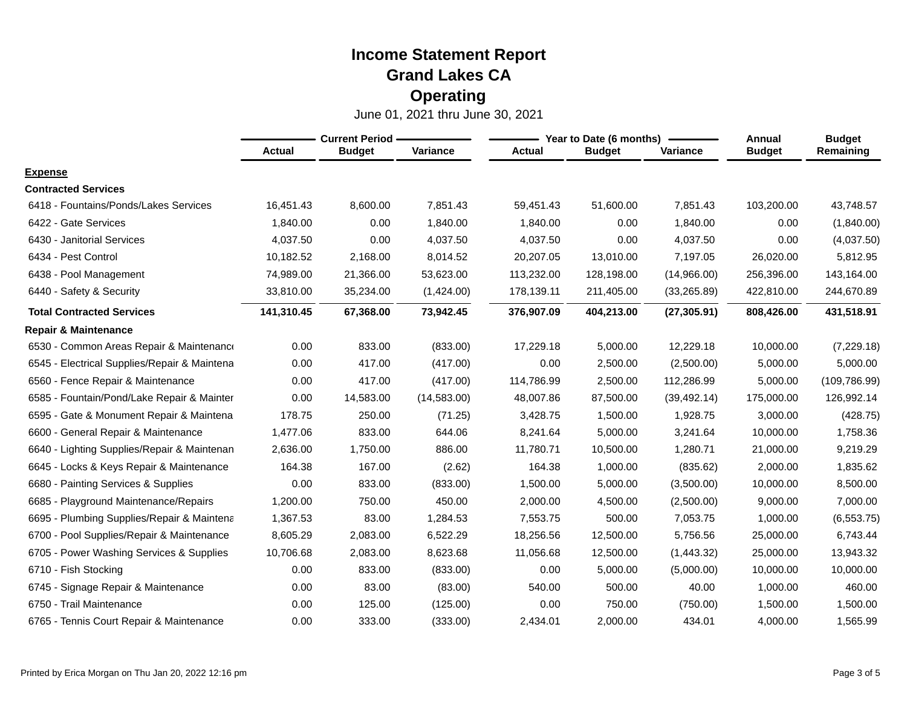|                                              | <b>Current Period -</b> |               |             |               | Year to Date (6 months) | Annual       | <b>Budget</b> |               |
|----------------------------------------------|-------------------------|---------------|-------------|---------------|-------------------------|--------------|---------------|---------------|
|                                              | <b>Actual</b>           | <b>Budget</b> | Variance    | <b>Actual</b> | <b>Budget</b>           | Variance     | <b>Budget</b> | Remaining     |
| <b>Expense</b>                               |                         |               |             |               |                         |              |               |               |
| <b>Contracted Services</b>                   |                         |               |             |               |                         |              |               |               |
| 6418 - Fountains/Ponds/Lakes Services        | 16,451.43               | 8,600.00      | 7,851.43    | 59.451.43     | 51,600.00               | 7.851.43     | 103,200.00    | 43,748.57     |
| 6422 - Gate Services                         | 1,840.00                | 0.00          | 1,840.00    | 1,840.00      | 0.00                    | 1,840.00     | 0.00          | (1,840.00)    |
| 6430 - Janitorial Services                   | 4,037.50                | 0.00          | 4,037.50    | 4,037.50      | 0.00                    | 4,037.50     | 0.00          | (4,037.50)    |
| 6434 - Pest Control                          | 10,182.52               | 2,168.00      | 8,014.52    | 20,207.05     | 13,010.00               | 7,197.05     | 26,020.00     | 5,812.95      |
| 6438 - Pool Management                       | 74,989.00               | 21,366.00     | 53,623.00   | 113,232.00    | 128,198.00              | (14,966.00)  | 256,396.00    | 143,164.00    |
| 6440 - Safety & Security                     | 33,810.00               | 35,234.00     | (1,424.00)  | 178,139.11    | 211,405.00              | (33, 265.89) | 422,810.00    | 244,670.89    |
| <b>Total Contracted Services</b>             | 141,310.45              | 67,368.00     | 73,942.45   | 376,907.09    | 404,213.00              | (27, 305.91) | 808,426.00    | 431,518.91    |
| <b>Repair &amp; Maintenance</b>              |                         |               |             |               |                         |              |               |               |
| 6530 - Common Areas Repair & Maintenance     | 0.00                    | 833.00        | (833.00)    | 17,229.18     | 5,000.00                | 12.229.18    | 10,000.00     | (7, 229.18)   |
| 6545 - Electrical Supplies/Repair & Maintena | 0.00                    | 417.00        | (417.00)    | 0.00          | 2,500.00                | (2,500.00)   | 5,000.00      | 5,000.00      |
| 6560 - Fence Repair & Maintenance            | 0.00                    | 417.00        | (417.00)    | 114,786.99    | 2,500.00                | 112,286.99   | 5,000.00      | (109, 786.99) |
| 6585 - Fountain/Pond/Lake Repair & Mainter   | 0.00                    | 14,583.00     | (14,583.00) | 48,007.86     | 87,500.00               | (39, 492.14) | 175,000.00    | 126,992.14    |
| 6595 - Gate & Monument Repair & Maintena     | 178.75                  | 250.00        | (71.25)     | 3,428.75      | 1,500.00                | 1,928.75     | 3,000.00      | (428.75)      |
| 6600 - General Repair & Maintenance          | 1,477.06                | 833.00        | 644.06      | 8,241.64      | 5,000.00                | 3,241.64     | 10,000.00     | 1,758.36      |
| 6640 - Lighting Supplies/Repair & Maintenan  | 2,636.00                | 1,750.00      | 886.00      | 11,780.71     | 10,500.00               | 1,280.71     | 21,000.00     | 9,219.29      |
| 6645 - Locks & Keys Repair & Maintenance     | 164.38                  | 167.00        | (2.62)      | 164.38        | 1,000.00                | (835.62)     | 2,000.00      | 1,835.62      |
| 6680 - Painting Services & Supplies          | 0.00                    | 833.00        | (833.00)    | 1,500.00      | 5,000.00                | (3,500.00)   | 10,000.00     | 8,500.00      |
| 6685 - Playground Maintenance/Repairs        | 1,200.00                | 750.00        | 450.00      | 2,000.00      | 4,500.00                | (2,500.00)   | 9,000.00      | 7,000.00      |
| 6695 - Plumbing Supplies/Repair & Maintena   | 1,367.53                | 83.00         | 1,284.53    | 7,553.75      | 500.00                  | 7,053.75     | 1,000.00      | (6, 553.75)   |
| 6700 - Pool Supplies/Repair & Maintenance    | 8,605.29                | 2,083.00      | 6,522.29    | 18,256.56     | 12,500.00               | 5,756.56     | 25,000.00     | 6,743.44      |
| 6705 - Power Washing Services & Supplies     | 10,706.68               | 2,083.00      | 8,623.68    | 11,056.68     | 12,500.00               | (1,443.32)   | 25,000.00     | 13,943.32     |
| 6710 - Fish Stocking                         | 0.00                    | 833.00        | (833.00)    | 0.00          | 5,000.00                | (5,000.00)   | 10,000.00     | 10,000.00     |
| - Signage Repair & Maintenance<br>6745       | 0.00                    | 83.00         | (83.00)     | 540.00        | 500.00                  | 40.00        | 1,000.00      | 460.00        |
| 6750 - Trail Maintenance                     | 0.00                    | 125.00        | (125.00)    | 0.00          | 750.00                  | (750.00)     | 1,500.00      | 1,500.00      |
| 6765 - Tennis Court Repair & Maintenance     | 0.00                    | 333.00        | (333.00)    | 2,434.01      | 2,000.00                | 434.01       | 4,000.00      | 1,565.99      |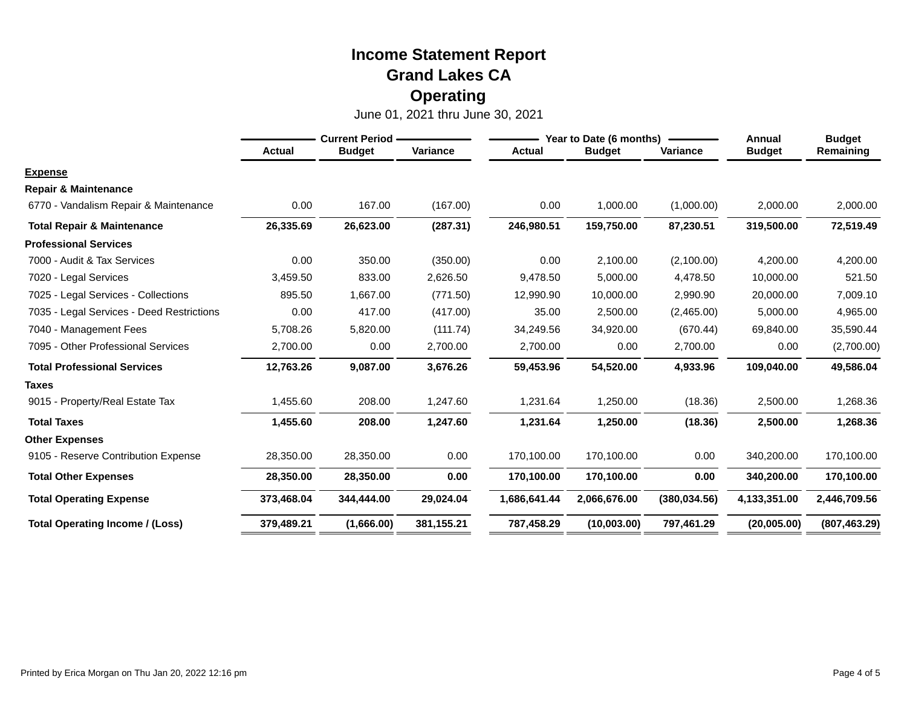|                                           | <b>Current Period -</b> |               |            |               | Year to Date (6 months) | Annual        | <b>Budget</b> |               |
|-------------------------------------------|-------------------------|---------------|------------|---------------|-------------------------|---------------|---------------|---------------|
|                                           | <b>Actual</b>           | <b>Budget</b> | Variance   | <b>Actual</b> | <b>Budget</b>           | Variance      | <b>Budget</b> | Remaining     |
| <b>Expense</b>                            |                         |               |            |               |                         |               |               |               |
| <b>Repair &amp; Maintenance</b>           |                         |               |            |               |                         |               |               |               |
| 6770 - Vandalism Repair & Maintenance     | 0.00                    | 167.00        | (167.00)   | 0.00          | 1,000.00                | (1,000.00)    | 2,000.00      | 2,000.00      |
| <b>Total Repair &amp; Maintenance</b>     | 26,335.69               | 26,623.00     | (287.31)   | 246,980.51    | 159,750.00              | 87,230.51     | 319,500.00    | 72,519.49     |
| <b>Professional Services</b>              |                         |               |            |               |                         |               |               |               |
| 7000 - Audit & Tax Services               | 0.00                    | 350.00        | (350.00)   | 0.00          | 2,100.00                | (2,100.00)    | 4,200.00      | 4,200.00      |
| 7020 - Legal Services                     | 3,459.50                | 833.00        | 2,626.50   | 9,478.50      | 5,000.00                | 4,478.50      | 10,000.00     | 521.50        |
| 7025 - Legal Services - Collections       | 895.50                  | 1,667.00      | (771.50)   | 12,990.90     | 10,000.00               | 2,990.90      | 20,000.00     | 7,009.10      |
| 7035 - Legal Services - Deed Restrictions | 0.00                    | 417.00        | (417.00)   | 35.00         | 2,500.00                | (2,465.00)    | 5,000.00      | 4,965.00      |
| 7040 - Management Fees                    | 5,708.26                | 5,820.00      | (111.74)   | 34,249.56     | 34,920.00               | (670.44)      | 69,840.00     | 35,590.44     |
| 7095 - Other Professional Services        | 2,700.00                | 0.00          | 2,700.00   | 2,700.00      | 0.00                    | 2,700.00      | 0.00          | (2,700.00)    |
| <b>Total Professional Services</b>        | 12,763.26               | 9,087.00      | 3,676.26   | 59,453.96     | 54,520.00               | 4,933.96      | 109,040.00    | 49,586.04     |
| <b>Taxes</b>                              |                         |               |            |               |                         |               |               |               |
| 9015 - Property/Real Estate Tax           | 1,455.60                | 208.00        | 1,247.60   | 1,231.64      | 1,250.00                | (18.36)       | 2,500.00      | 1,268.36      |
| <b>Total Taxes</b>                        | 1,455.60                | 208.00        | 1,247.60   | 1,231.64      | 1,250.00                | (18.36)       | 2,500.00      | 1,268.36      |
| <b>Other Expenses</b>                     |                         |               |            |               |                         |               |               |               |
| 9105 - Reserve Contribution Expense       | 28,350.00               | 28,350.00     | 0.00       | 170,100.00    | 170,100.00              | 0.00          | 340,200.00    | 170,100.00    |
| <b>Total Other Expenses</b>               | 28,350.00               | 28,350.00     | 0.00       | 170,100.00    | 170,100.00              | 0.00          | 340,200.00    | 170,100.00    |
| <b>Total Operating Expense</b>            | 373,468.04              | 344,444.00    | 29,024.04  | 1,686,641.44  | 2,066,676.00            | (380, 034.56) | 4,133,351.00  | 2,446,709.56  |
| <b>Total Operating Income / (Loss)</b>    | 379,489.21              | (1,666.00)    | 381,155.21 | 787,458.29    | (10,003.00)             | 797,461.29    | (20,005.00)   | (807, 463.29) |